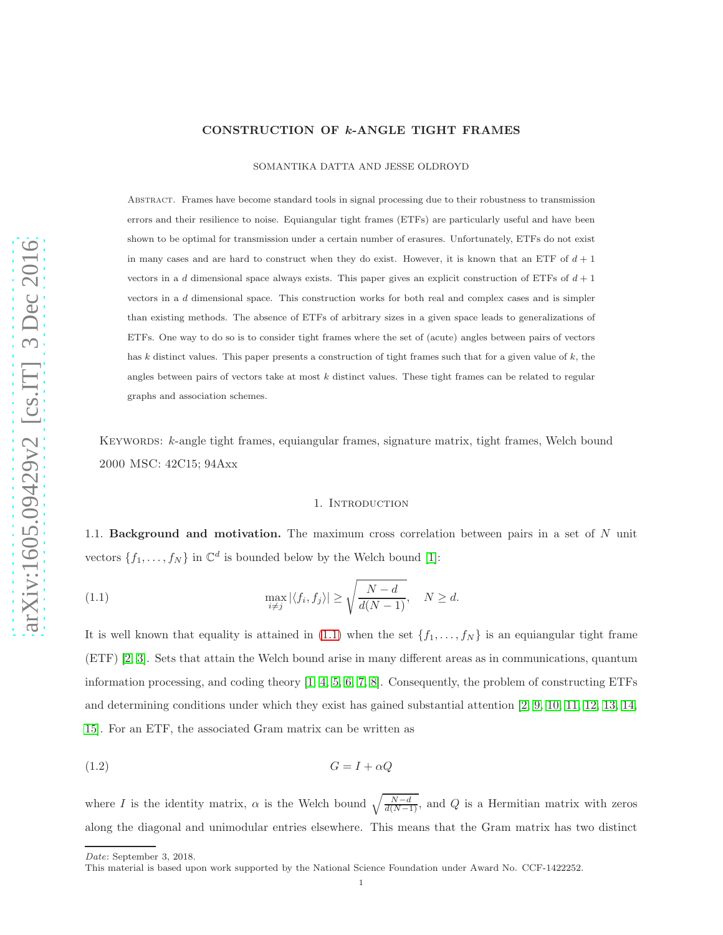# CONSTRUCTION OF k-ANGLE TIGHT FRAMES

SOMANTIKA DATTA AND JESSE OLDROYD

Abstract. Frames have become standard tools in signal processing due to their robustness to transmission errors and their resilience to noise. Equiangular tight frames (ETFs) are particularly useful and have been shown to be optimal for transmission under a certain number of erasures. Unfortunately, ETFs do not exist in many cases and are hard to construct when they do exist. However, it is known that an ETF of  $d+1$ vectors in a d dimensional space always exists. This paper gives an explicit construction of ETFs of  $d+1$ vectors in a d dimensional space. This construction works for both real and complex cases and is simpler than existing methods. The absence of ETFs of arbitrary sizes in a given space leads to generalizations of ETFs. One way to do so is to consider tight frames where the set of (acute) angles between pairs of vectors has k distinct values. This paper presents a construction of tight frames such that for a given value of k, the angles between pairs of vectors take at most  $k$  distinct values. These tight frames can be related to regular graphs and association schemes.

<span id="page-0-2"></span>KEYWORDS: k-angle tight frames, equiangular frames, signature matrix, tight frames, Welch bound 2000 MSC: 42C15; 94Axx

#### <span id="page-0-0"></span>1. INTRODUCTION

1.1. Background and motivation. The maximum cross correlation between pairs in a set of N unit vectors  $\{f_1, \ldots, f_N\}$  in  $\mathbb{C}^d$  is bounded below by the Welch bound [\[1\]](#page-12-0):

(1.1) 
$$
\max_{i \neq j} |\langle f_i, f_j \rangle| \ge \sqrt{\frac{N - d}{d(N - 1)}}, \quad N \ge d.
$$

It is well known that equality is attained in [\(1.1\)](#page-0-0) when the set  $\{f_1, \ldots, f_N\}$  is an equiangular tight frame (ETF) [\[2,](#page-12-1) [3\]](#page-12-2). Sets that attain the Welch bound arise in many different areas as in communications, quantum information processing, and coding theory [\[1,](#page-12-0) [4,](#page-12-3) [5,](#page-12-4) [6,](#page-12-5) [7,](#page-12-6) [8\]](#page-12-7). Consequently, the problem of constructing ETFs and determining conditions under which they exist has gained substantial attention [\[2,](#page-12-1) [9,](#page-12-8) [10,](#page-12-9) [11,](#page-12-10) [12,](#page-13-0) [13,](#page-13-1) [14,](#page-13-2) [15\]](#page-13-3). For an ETF, the associated Gram matrix can be written as

<span id="page-0-1"></span>
$$
(1.2)\t\t G = I + \alpha Q
$$

*Date*: September 3, 2018.

where I is the identity matrix,  $\alpha$  is the Welch bound  $\sqrt{\frac{N-d}{d(N-1)}}$ , and Q is a Hermitian matrix with zeros along the diagonal and unimodular entries elsewhere. This means that the Gram matrix has two distinct

This material is based upon work supported by the National Science Foundation under Award No. CCF-1422252.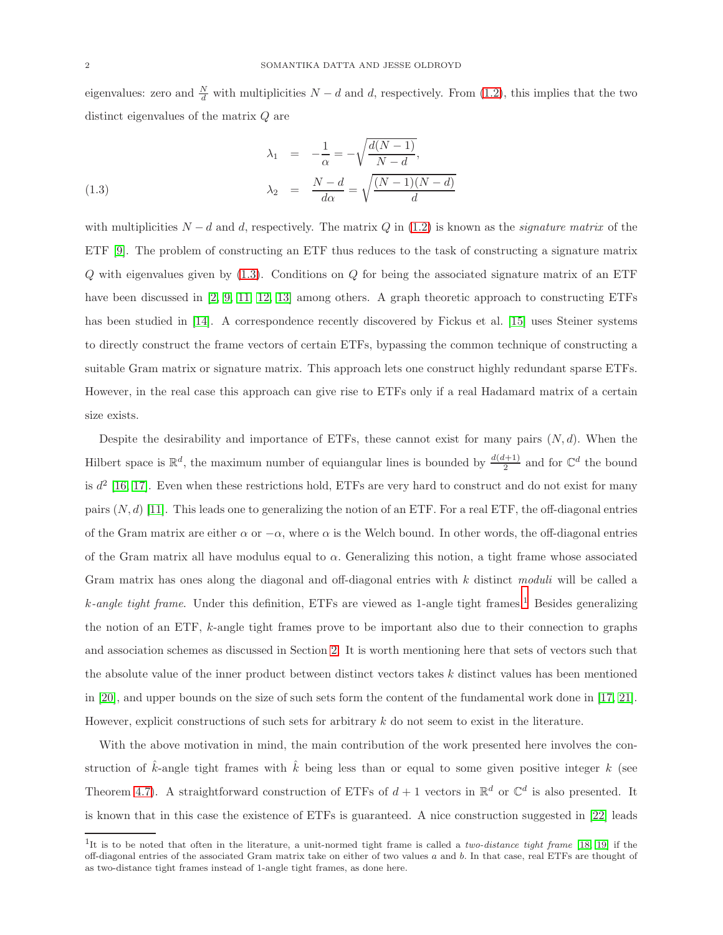eigenvalues: zero and  $\frac{N}{d}$  with multiplicities  $N - d$  and d, respectively. From [\(1.2\)](#page-0-1), this implies that the two distinct eigenvalues of the matrix Q are

<span id="page-1-0"></span>(1.3)  
\n
$$
\lambda_1 = -\frac{1}{\alpha} = -\sqrt{\frac{d(N-1)}{N-d}},
$$
\n
$$
\lambda_2 = \frac{N-d}{d\alpha} = \sqrt{\frac{(N-1)(N-d)}{d}}
$$

with multiplicities  $N - d$  and d, respectively. The matrix Q in [\(1.2\)](#page-0-1) is known as the *signature matrix* of the ETF [\[9\]](#page-12-8). The problem of constructing an ETF thus reduces to the task of constructing a signature matrix  $Q$  with eigenvalues given by  $(1.3)$ . Conditions on  $Q$  for being the associated signature matrix of an ETF have been discussed in [\[2,](#page-12-1) [9,](#page-12-8) [11,](#page-12-10) [12,](#page-13-0) [13\]](#page-13-1) among others. A graph theoretic approach to constructing ETFs has been studied in [\[14\]](#page-13-2). A correspondence recently discovered by Fickus et al. [\[15\]](#page-13-3) uses Steiner systems to directly construct the frame vectors of certain ETFs, bypassing the common technique of constructing a suitable Gram matrix or signature matrix. This approach lets one construct highly redundant sparse ETFs. However, in the real case this approach can give rise to ETFs only if a real Hadamard matrix of a certain size exists.

Despite the desirability and importance of ETFs, these cannot exist for many pairs  $(N, d)$ . When the Hilbert space is  $\mathbb{R}^d$ , the maximum number of equiangular lines is bounded by  $\frac{d(d+1)}{2}$  and for  $\mathbb{C}^d$  the bound is  $d^2$  [\[16,](#page-13-4) [17\]](#page-13-5). Even when these restrictions hold, ETFs are very hard to construct and do not exist for many pairs  $(N, d)$  [\[11\]](#page-12-10). This leads one to generalizing the notion of an ETF. For a real ETF, the off-diagonal entries of the Gram matrix are either  $\alpha$  or  $-\alpha$ , where  $\alpha$  is the Welch bound. In other words, the off-diagonal entries of the Gram matrix all have modulus equal to  $\alpha$ . Generalizing this notion, a tight frame whose associated Gram matrix has ones along the diagonal and off-diagonal entries with k distinct *moduli* will be called a k*-angle tight frame*. Under this definition, ETFs are viewed as 1-angle tight frames.[1](#page-1-1) Besides generalizing the notion of an ETF, k-angle tight frames prove to be important also due to their connection to graphs and association schemes as discussed in Section [2.](#page-2-0) It is worth mentioning here that sets of vectors such that the absolute value of the inner product between distinct vectors takes k distinct values has been mentioned in [\[20\]](#page-13-6), and upper bounds on the size of such sets form the content of the fundamental work done in [\[17,](#page-13-5) [21\]](#page-13-7). However, explicit constructions of such sets for arbitrary  $k$  do not seem to exist in the literature.

With the above motivation in mind, the main contribution of the work presented here involves the construction of  $\hat{k}$ -angle tight frames with  $\hat{k}$  being less than or equal to some given positive integer k (see Theorem [4.7\)](#page-9-0). A straightforward construction of ETFs of  $d+1$  vectors in  $\mathbb{R}^d$  or  $\mathbb{C}^d$  is also presented. It is known that in this case the existence of ETFs is guaranteed. A nice construction suggested in [\[22\]](#page-13-8) leads

<span id="page-1-1"></span><sup>1</sup> It is to be noted that often in the literature, a unit-normed tight frame is called a *two-distance tight frame* [\[18,](#page-13-9) [19\]](#page-13-10) if the off-diagonal entries of the associated Gram matrix take on either of two values  $a$  and  $b$ . In that case, real ETFs are thought of as two-distance tight frames instead of 1-angle tight frames, as done here.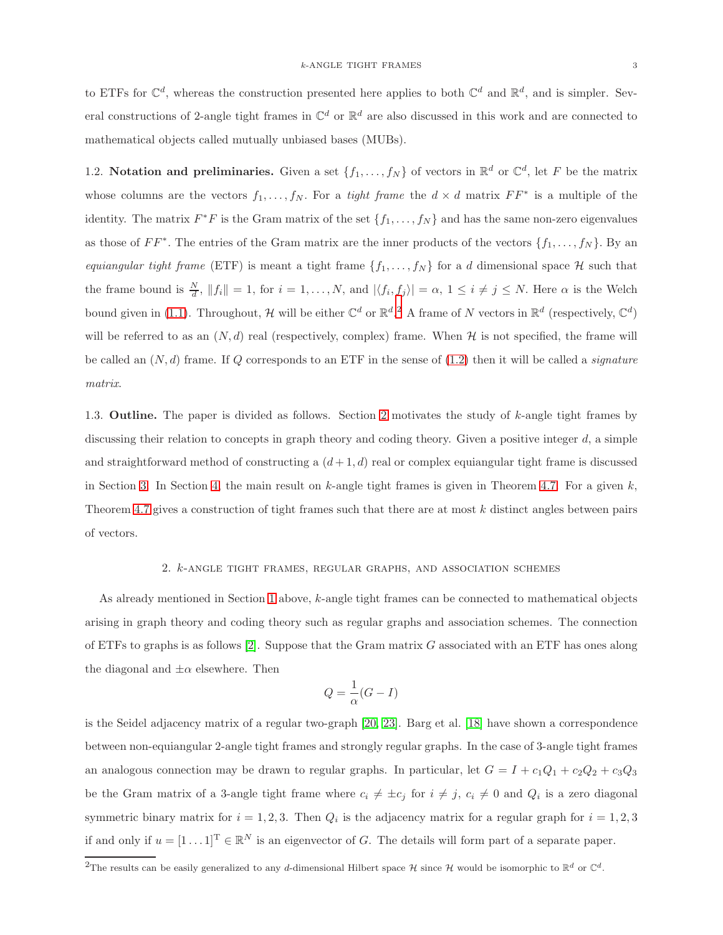to ETFs for  $\mathbb{C}^d$ , whereas the construction presented here applies to both  $\mathbb{C}^d$  and  $\mathbb{R}^d$ , and is simpler. Several constructions of 2-angle tight frames in  $\mathbb{C}^d$  or  $\mathbb{R}^d$  are also discussed in this work and are connected to mathematical objects called mutually unbiased bases (MUBs).

1.2. Notation and preliminaries. Given a set  $\{f_1, \ldots, f_N\}$  of vectors in  $\mathbb{R}^d$  or  $\mathbb{C}^d$ , let F be the matrix whose columns are the vectors  $f_1, \ldots, f_N$ . For a *tight frame* the  $d \times d$  matrix  $FF^*$  is a multiple of the identity. The matrix  $F^*F$  is the Gram matrix of the set  $\{f_1, \ldots, f_N\}$  and has the same non-zero eigenvalues as those of  $FF^*$ . The entries of the Gram matrix are the inner products of the vectors  $\{f_1, \ldots, f_N\}$ . By an *equiangular tight frame* (ETF) is meant a tight frame  $\{f_1, \ldots, f_N\}$  for a d dimensional space H such that the frame bound is  $\frac{N}{d}$ ,  $||f_i|| = 1$ , for  $i = 1, ..., N$ , and  $|\langle f_i, f_j \rangle| = \alpha$ ,  $1 \le i \ne j \le N$ . Here  $\alpha$  is the Welch bound given in [\(1.1\)](#page-0-0). Throughout, H will be either  $\mathbb{C}^d$  or  $\mathbb{R}^d$ . A frame of N vectors in  $\mathbb{R}^d$  (respectively,  $\mathbb{C}^d$ ) will be referred to as an  $(N, d)$  real (respectively, complex) frame. When H is not specified, the frame will be called an (N, d) frame. If Q corresponds to an ETF in the sense of [\(1.2\)](#page-0-1) then it will be called a *signature matrix*.

1.3. Outline. The paper is divided as follows. Section [2](#page-2-0) motivates the study of k-angle tight frames by discussing their relation to concepts in graph theory and coding theory. Given a positive integer  $d$ , a simple and straightforward method of constructing a  $(d+1, d)$  real or complex equiangular tight frame is discussed in Section [3.](#page-3-0) In Section [4,](#page-6-0) the main result on  $k$ -angle tight frames is given in Theorem [4.7.](#page-9-0) For a given  $k$ , Theorem [4.7](#page-9-0) gives a construction of tight frames such that there are at most  $k$  distinct angles between pairs of vectors.

# 2. k-angle tight frames, regular graphs, and association schemes

<span id="page-2-0"></span>As already mentioned in Section [1](#page-0-2) above, k-angle tight frames can be connected to mathematical objects arising in graph theory and coding theory such as regular graphs and association schemes. The connection of ETFs to graphs is as follows  $[2]$ . Suppose that the Gram matrix G associated with an ETF has ones along the diagonal and  $\pm \alpha$  elsewhere. Then

$$
Q = \frac{1}{\alpha}(G - I)
$$

is the Seidel adjacency matrix of a regular two-graph [\[20,](#page-13-6) [23\]](#page-13-11). Barg et al. [\[18\]](#page-13-9) have shown a correspondence between non-equiangular 2-angle tight frames and strongly regular graphs. In the case of 3-angle tight frames an analogous connection may be drawn to regular graphs. In particular, let  $G = I + c_1Q_1 + c_2Q_2 + c_3Q_3$ be the Gram matrix of a 3-angle tight frame where  $c_i \neq \pm c_j$  for  $i \neq j$ ,  $c_i \neq 0$  and  $Q_i$  is a zero diagonal symmetric binary matrix for  $i = 1, 2, 3$ . Then  $Q_i$  is the adjacency matrix for a regular graph for  $i = 1, 2, 3$ if and only if  $u = [1 \dots 1]^T \in \mathbb{R}^N$  is an eigenvector of G. The details will form part of a separate paper.

<span id="page-2-1"></span><sup>&</sup>lt;sup>2</sup>The results can be easily generalized to any d-dimensional Hilbert space  $\mathcal H$  since  $\mathcal H$  would be isomorphic to  $\mathbb R^d$  or  $\mathbb C^d$ .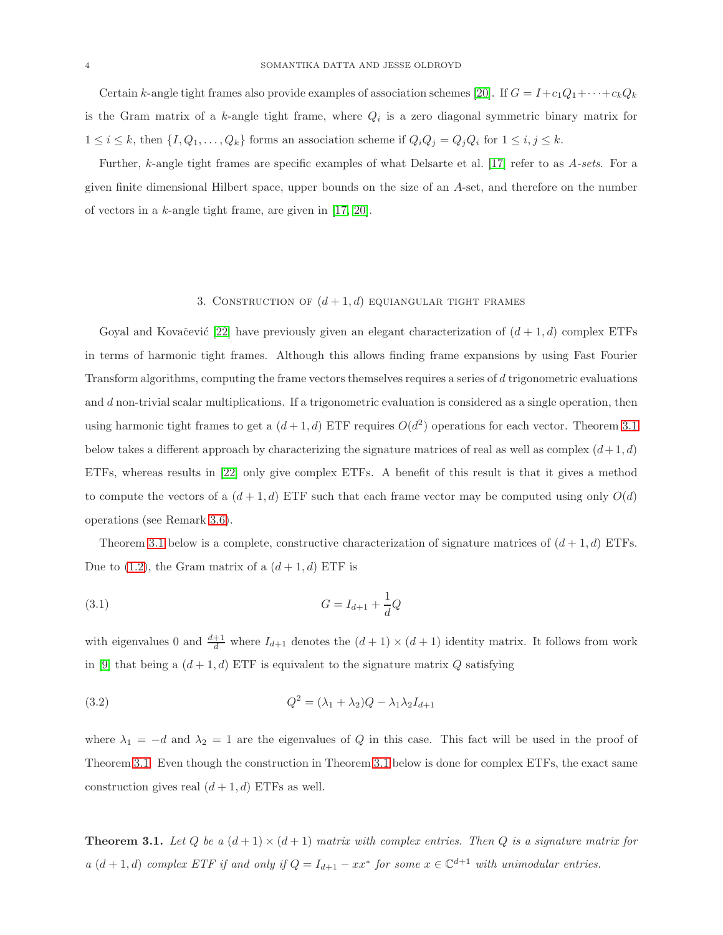Certain k-angle tight frames also provide examples of association schemes [\[20\]](#page-13-6). If  $G = I + c_1Q_1 + \cdots + c_kQ_k$ is the Gram matrix of a k-angle tight frame, where  $Q_i$  is a zero diagonal symmetric binary matrix for  $1 \leq i \leq k$ , then  $\{I, Q_1, \ldots, Q_k\}$  forms an association scheme if  $Q_i Q_j = Q_j Q_i$  for  $1 \leq i, j \leq k$ .

Further, k-angle tight frames are specific examples of what Delsarte et al. [\[17\]](#page-13-5) refer to as A*-sets*. For a given finite dimensional Hilbert space, upper bounds on the size of an A-set, and therefore on the number of vectors in a k-angle tight frame, are given in [\[17,](#page-13-5) [20\]](#page-13-6).

## 3. CONSTRUCTION OF  $(d+1, d)$  equiangular tight frames

<span id="page-3-0"></span>Goyal and Kovačević [\[22\]](#page-13-8) have previously given an elegant characterization of  $(d+1, d)$  complex ETFs in terms of harmonic tight frames. Although this allows finding frame expansions by using Fast Fourier Transform algorithms, computing the frame vectors themselves requires a series of d trigonometric evaluations and d non-trivial scalar multiplications. If a trigonometric evaluation is considered as a single operation, then using harmonic tight frames to get a  $(d+1, d)$  ETF requires  $O(d^2)$  operations for each vector. Theorem [3.1](#page-3-1) below takes a different approach by characterizing the signature matrices of real as well as complex  $(d+1, d)$ ETFs, whereas results in [\[22\]](#page-13-8) only give complex ETFs. A benefit of this result is that it gives a method to compute the vectors of a  $(d+1, d)$  ETF such that each frame vector may be computed using only  $O(d)$ operations (see Remark [3.6\)](#page-6-1).

Theorem [3.1](#page-3-1) below is a complete, constructive characterization of signature matrices of  $(d+1, d)$  ETFs. Due to  $(1.2)$ , the Gram matrix of a  $(d+1, d)$  ETF is

(3.1) 
$$
G = I_{d+1} + \frac{1}{d}Q
$$

with eigenvalues 0 and  $\frac{d+1}{d}$  where  $I_{d+1}$  denotes the  $(d+1) \times (d+1)$  identity matrix. It follows from work in [\[9\]](#page-12-8) that being a  $(d+1, d)$  ETF is equivalent to the signature matrix Q satisfying

<span id="page-3-2"></span>(3.2) 
$$
Q^2 = (\lambda_1 + \lambda_2)Q - \lambda_1 \lambda_2 I_{d+1}
$$

where  $\lambda_1 = -d$  and  $\lambda_2 = 1$  are the eigenvalues of Q in this case. This fact will be used in the proof of Theorem [3.1.](#page-3-1) Even though the construction in Theorem [3.1](#page-3-1) below is done for complex ETFs, the exact same construction gives real  $(d+1, d)$  ETFs as well.

<span id="page-3-1"></span>**Theorem 3.1.** Let Q be a  $(d+1) \times (d+1)$  matrix with complex entries. Then Q is a signature matrix for *a*  $(d+1, d)$  *complex ETF if and only if*  $Q = I_{d+1} - xx^*$  *for some*  $x \in \mathbb{C}^{d+1}$  *with unimodular entries.*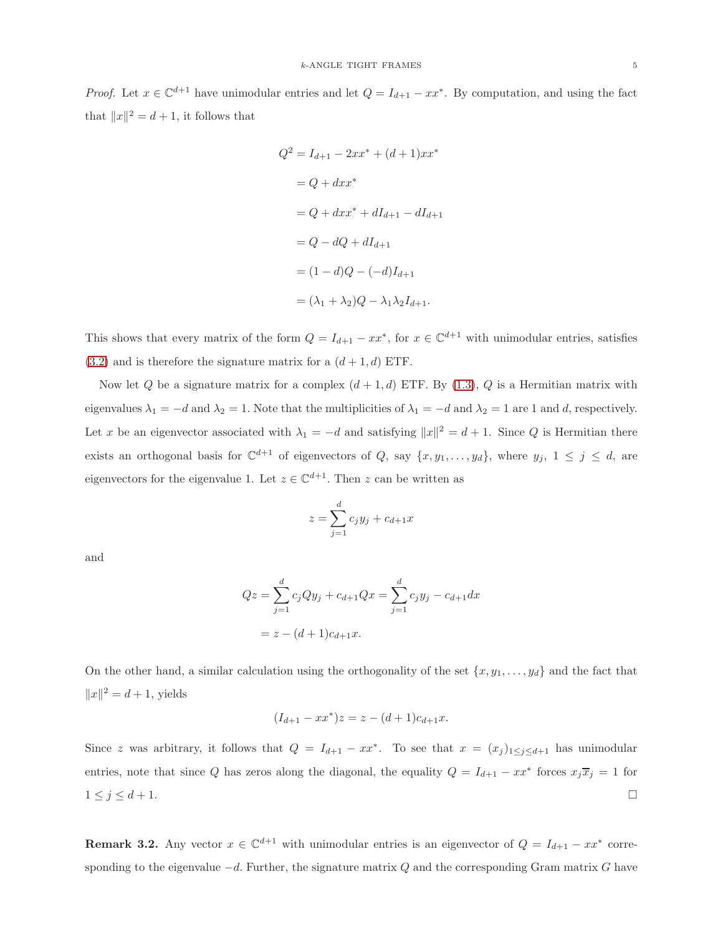*Proof.* Let  $x \in \mathbb{C}^{d+1}$  have unimodular entries and let  $Q = I_{d+1} - xx^*$ . By computation, and using the fact that  $||x||^2 = d + 1$ , it follows that

$$
Q^{2} = I_{d+1} - 2xx^{*} + (d+1)xx^{*}
$$
  
= Q + dxx<sup>\*</sup>  
= Q + dxx<sup>\*</sup> + dI\_{d+1} - dI\_{d+1}  
= Q - dQ + dI\_{d+1}  
= (1 - d)Q - (-d)I\_{d+1}  
= (\lambda\_{1} + \lambda\_{2})Q - \lambda\_{1}\lambda\_{2}I\_{d+1}.

This shows that every matrix of the form  $Q = I_{d+1} - xx^*$ , for  $x \in \mathbb{C}^{d+1}$  with unimodular entries, satisfies  $(3.2)$  and is therefore the signature matrix for a  $(d+1, d)$  ETF.

Now let Q be a signature matrix for a complex  $(d+1, d)$  ETF. By  $(1.3)$ , Q is a Hermitian matrix with eigenvalues  $\lambda_1 = -d$  and  $\lambda_2 = 1$ . Note that the multiplicities of  $\lambda_1 = -d$  and  $\lambda_2 = 1$  are 1 and d, respectively. Let x be an eigenvector associated with  $\lambda_1 = -d$  and satisfying  $||x||^2 = d + 1$ . Since Q is Hermitian there exists an orthogonal basis for  $\mathbb{C}^{d+1}$  of eigenvectors of Q, say  $\{x, y_1, \ldots, y_d\}$ , where  $y_j$ ,  $1 \leq j \leq d$ , are eigenvectors for the eigenvalue 1. Let  $z \in \mathbb{C}^{d+1}$ . Then z can be written as

$$
z = \sum_{j=1}^{d} c_j y_j + c_{d+1} x
$$

and

$$
Qz = \sum_{j=1}^{d} c_j Qy_j + c_{d+1} Qx = \sum_{j=1}^{d} c_j y_j - c_{d+1} dx
$$
  
=  $z - (d+1)c_{d+1}x$ .

On the other hand, a similar calculation using the orthogonality of the set  $\{x, y_1, \ldots, y_d\}$  and the fact that  $||x||^2 = d + 1$ , yields

$$
(I_{d+1} - xx^*)z = z - (d+1)c_{d+1}x.
$$

Since z was arbitrary, it follows that  $Q = I_{d+1} - xx^*$ . To see that  $x = (x_j)_{1 \leq j \leq d+1}$  has unimodular entries, note that since Q has zeros along the diagonal, the equality  $Q = I_{d+1} - xx^*$  forces  $x_j\overline{x}_j = 1$  for  $1 \leq j \leq d+1$ .

**Remark 3.2.** Any vector  $x \in \mathbb{C}^{d+1}$  with unimodular entries is an eigenvector of  $Q = I_{d+1} - xx^*$  corresponding to the eigenvalue  $-d$ . Further, the signature matrix  $Q$  and the corresponding Gram matrix  $G$  have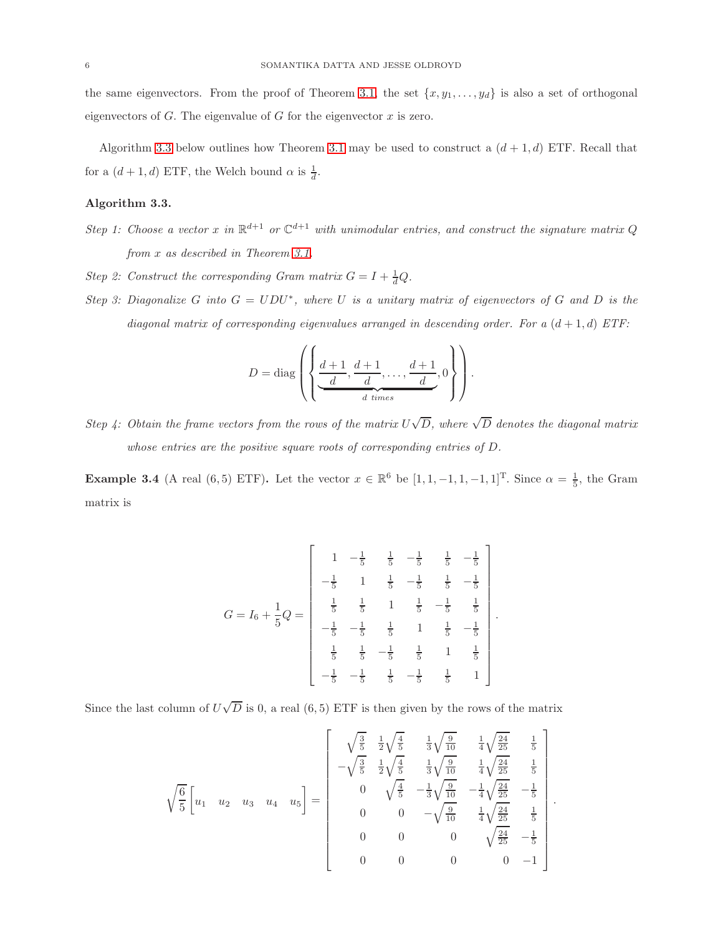the same eigenvectors. From the proof of Theorem [3.1,](#page-3-1) the set  $\{x, y_1, \ldots, y_d\}$  is also a set of orthogonal eigenvectors of  $G$ . The eigenvalue of  $G$  for the eigenvector  $x$  is zero.

Algorithm [3.3](#page-5-0) below outlines how Theorem [3.1](#page-3-1) may be used to construct a  $(d+1, d)$  ETF. Recall that for a  $(d+1, d)$  ETF, the Welch bound  $\alpha$  is  $\frac{1}{d}$ .

# <span id="page-5-0"></span>Algorithm 3.3.

- *Step 1: Choose a vector* x in  $\mathbb{R}^{d+1}$  *or*  $\mathbb{C}^{d+1}$  *with unimodular entries, and construct the signature matrix* Q *from* x *as described in Theorem [3.1.](#page-3-1)*
- *Step 2: Construct the corresponding Gram matrix*  $G = I + \frac{1}{d}Q$ *.*
- *Step 3: Diagonalize* G *into*  $G = UDU^*$ , where U *is a unitary matrix of eigenvectors of* G *and* D *is the diagonal matrix of corresponding eigenvalues arranged in descending order. For a*  $(d+1, d)$  *ETF*:

$$
D = \text{diag}\left(\left\{\underbrace{\frac{d+1}{d}, \frac{d+1}{d}, \dots, \frac{d+1}{d}}_{d \text{ times}}, 0\right\}\right).
$$

*Step 4:* Obtain the frame vectors from the rows of the matrix  $U\sqrt{D}$ , where  $\sqrt{D}$  denotes the diagonal matrix *whose entries are the positive square roots of corresponding entries of* D*.*

**Example 3.4** (A real (6,5) ETF). Let the vector  $x \in \mathbb{R}^6$  be  $[1, 1, -1, 1, -1, 1]^T$ . Since  $\alpha = \frac{1}{5}$ , the Gram matrix is

$$
G = I_6 + \frac{1}{5}Q = \begin{bmatrix} 1 & -\frac{1}{5} & \frac{1}{5} & -\frac{1}{5} & \frac{1}{5} & -\frac{1}{5} \\ -\frac{1}{5} & 1 & \frac{1}{5} & -\frac{1}{5} & \frac{1}{5} & -\frac{1}{5} \\ \frac{1}{5} & \frac{1}{5} & 1 & \frac{1}{5} & -\frac{1}{5} & \frac{1}{5} \\ -\frac{1}{5} & -\frac{1}{5} & \frac{1}{5} & 1 & \frac{1}{5} & -\frac{1}{5} \\ \frac{1}{5} & \frac{1}{5} & -\frac{1}{5} & \frac{1}{5} & 1 & \frac{1}{5} \\ -\frac{1}{5} & -\frac{1}{5} & \frac{1}{5} & -\frac{1}{5} & \frac{1}{5} & 1 \end{bmatrix}
$$

.

Since the last column of  $U\sqrt{D}$  is 0, a real (6,5) ETF is then given by the rows of the matrix

$$
\sqrt{\frac{6}{5}} \begin{bmatrix} u_1 & u_2 & u_3 & u_4 & u_5 \end{bmatrix} = \begin{bmatrix} \sqrt{\frac{3}{5}} & \frac{1}{2}\sqrt{\frac{4}{5}} & \frac{1}{3}\sqrt{\frac{9}{10}} & \frac{1}{4}\sqrt{\frac{24}{25}} & \frac{1}{5} \\ -\sqrt{\frac{3}{5}} & \frac{1}{2}\sqrt{\frac{4}{5}} & \frac{1}{3}\sqrt{\frac{9}{10}} & \frac{1}{4}\sqrt{\frac{24}{25}} & \frac{1}{5} \\ 0 & \sqrt{\frac{4}{5}} & -\frac{1}{3}\sqrt{\frac{9}{10}} & -\frac{1}{4}\sqrt{\frac{24}{25}} & -\frac{1}{5} \\ 0 & 0 & -\sqrt{\frac{9}{10}} & \frac{1}{4}\sqrt{\frac{24}{25}} & \frac{1}{5} \\ 0 & 0 & 0 & \sqrt{\frac{24}{25}} & -\frac{1}{5} \\ 0 & 0 & 0 & 0 & -1 \end{bmatrix}.
$$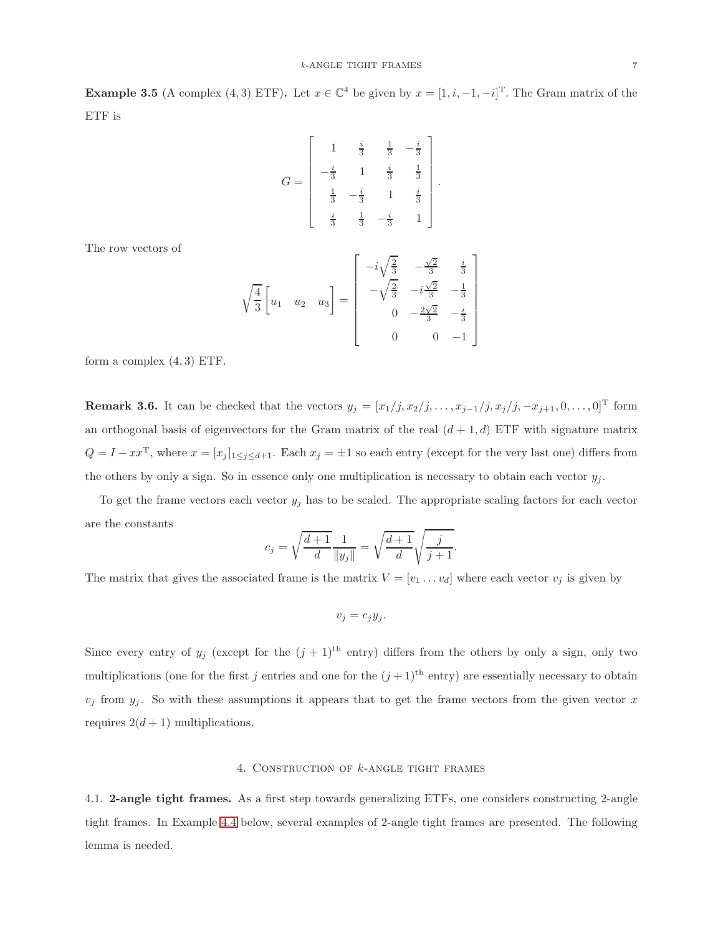**Example 3.5** (A complex (4, 3) ETF). Let  $x \in \mathbb{C}^4$  be given by  $x = [1, i, -1, -i]^T$ . The Gram matrix of the ETF is

$$
G = \begin{bmatrix} 1 & \frac{i}{3} & \frac{1}{3} & -\frac{i}{3} \\ -\frac{i}{3} & 1 & \frac{i}{3} & \frac{1}{3} \\ \frac{1}{3} & -\frac{i}{3} & 1 & \frac{i}{3} \\ \frac{i}{3} & \frac{1}{3} & -\frac{i}{3} & 1 \end{bmatrix}.
$$

The row vectors of

$$
\sqrt{\frac{4}{3}} \begin{bmatrix} u_1 & u_2 & u_3 \end{bmatrix} = \begin{bmatrix} -i\sqrt{\frac{2}{3}} & -\frac{\sqrt{2}}{3} & \frac{i}{3} \\ -\sqrt{\frac{2}{3}} & -i\frac{\sqrt{2}}{3} & -\frac{1}{3} \\ 0 & -\frac{2\sqrt{2}}{3} & -\frac{i}{3} \\ 0 & 0 & -1 \end{bmatrix}
$$

form a complex  $(4, 3)$  ETF.

<span id="page-6-1"></span>Remark 3.6. It can be checked that the vectors  $y_j = [x_1/j, x_2/j, \ldots, x_{j-1}/j, x_j/j, -x_{j+1}, 0, \ldots, 0]^T$  form an orthogonal basis of eigenvectors for the Gram matrix of the real  $(d + 1, d)$  ETF with signature matrix  $Q = I - xx^{\mathrm{T}}$ , where  $x = [x_j]_{1 \leq j \leq d+1}$ . Each  $x_j = \pm 1$  so each entry (except for the very last one) differs from the others by only a sign. So in essence only one multiplication is necessary to obtain each vector  $y_i$ .

To get the frame vectors each vector  $y_j$  has to be scaled. The appropriate scaling factors for each vector are the constants

$$
c_j = \sqrt{\frac{d+1}{d}} \frac{1}{\|y_j\|} = \sqrt{\frac{d+1}{d}} \sqrt{\frac{j}{j+1}}.
$$

The matrix that gives the associated frame is the matrix  $V = [v_1 \dots v_d]$  where each vector  $v_j$  is given by

$$
v_j = c_j y_j.
$$

Since every entry of  $y_j$  (except for the  $(j + 1)$ <sup>th</sup> entry) differs from the others by only a sign, only two multiplications (one for the first j entries and one for the  $(j+1)$ <sup>th</sup> entry) are essentially necessary to obtain  $v_j$  from  $y_j$ . So with these assumptions it appears that to get the frame vectors from the given vector x requires  $2(d+1)$  multiplications.

# 4. CONSTRUCTION OF  $k$ -ANGLE TIGHT FRAMES

<span id="page-6-0"></span>4.1. 2-angle tight frames. As a first step towards generalizing ETFs, one considers constructing 2-angle tight frames. In Example [4.4](#page-7-0) below, several examples of 2-angle tight frames are presented. The following lemma is needed.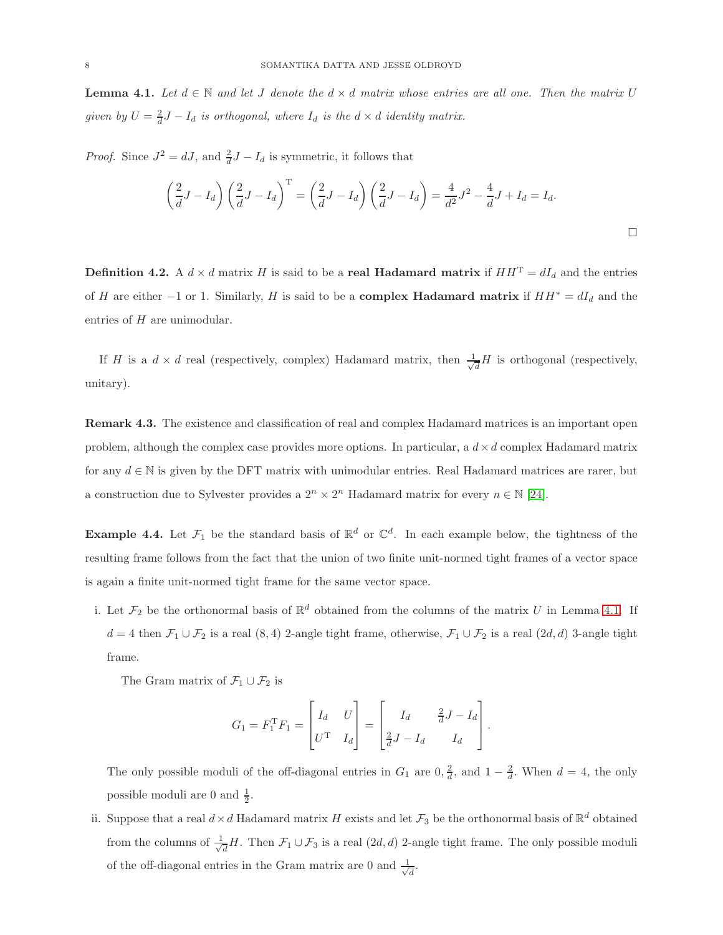<span id="page-7-1"></span>**Lemma 4.1.** Let  $d \in \mathbb{N}$  and let J denote the  $d \times d$  matrix whose entries are all one. Then the matrix U *given by*  $U = \frac{2}{d}J - I_d$  *is orthogonal, where*  $I_d$  *is the*  $d \times d$  *identity matrix.* 

*Proof.* Since  $J^2 = dJ$ , and  $\frac{2}{d}J - I_d$  is symmetric, it follows that

$$
\left(\frac{2}{d}J - I_d\right)\left(\frac{2}{d}J - I_d\right)^{\mathrm{T}} = \left(\frac{2}{d}J - I_d\right)\left(\frac{2}{d}J - I_d\right) = \frac{4}{d^2}J^2 - \frac{4}{d}J + I_d = I_d.
$$

**Definition 4.2.** A  $d \times d$  matrix H is said to be a **real Hadamard matrix** if  $HH^T = dI_d$  and the entries of H are either -1 or 1. Similarly, H is said to be a **complex Hadamard matrix** if  $HH^* = dI_d$  and the entries of H are unimodular.

If H is a  $d \times d$  real (respectively, complex) Hadamard matrix, then  $\frac{1}{\sqrt{d}}$  $\frac{1}{d}H$  is orthogonal (respectively, unitary).

Remark 4.3. The existence and classification of real and complex Hadamard matrices is an important open problem, although the complex case provides more options. In particular, a  $d \times d$  complex Hadamard matrix for any  $d \in \mathbb{N}$  is given by the DFT matrix with unimodular entries. Real Hadamard matrices are rarer, but a construction due to Sylvester provides a  $2^n \times 2^n$  Hadamard matrix for every  $n \in \mathbb{N}$  [\[24\]](#page-13-12).

<span id="page-7-0"></span>**Example 4.4.** Let  $\mathcal{F}_1$  be the standard basis of  $\mathbb{R}^d$  or  $\mathbb{C}^d$ . In each example below, the tightness of the resulting frame follows from the fact that the union of two finite unit-normed tight frames of a vector space is again a finite unit-normed tight frame for the same vector space.

i. Let  $\mathcal{F}_2$  be the orthonormal basis of  $\mathbb{R}^d$  obtained from the columns of the matrix U in Lemma [4.1.](#page-7-1) If  $d = 4$  then  $\mathcal{F}_1 \cup \mathcal{F}_2$  is a real  $(8, 4)$  2-angle tight frame, otherwise,  $\mathcal{F}_1 \cup \mathcal{F}_2$  is a real  $(2d, d)$  3-angle tight frame.

The Gram matrix of  $\mathcal{F}_1 \cup \mathcal{F}_2$  is

$$
G_1 = F_1^{\mathrm{T}} F_1 = \begin{bmatrix} I_d & U \\ U^{\mathrm{T}} & I_d \end{bmatrix} = \begin{bmatrix} I_d & \frac{2}{d}J - I_d \\ \frac{2}{d}J - I_d & I_d \end{bmatrix}.
$$

The only possible moduli of the off-diagonal entries in  $G_1$  are  $0, \frac{2}{d}$ , and  $1 - \frac{2}{d}$ . When  $d = 4$ , the only possible moduli are 0 and  $\frac{1}{2}$ .

ii. Suppose that a real  $d \times d$  Hadamard matrix H exists and let  $\mathcal{F}_3$  be the orthonormal basis of  $\mathbb{R}^d$  obtained from the columns of  $\frac{1}{\sqrt{2}}$  $\frac{1}{d}H$ . Then  $\mathcal{F}_1 \cup \mathcal{F}_3$  is a real  $(2d, d)$  2-angle tight frame. The only possible moduli of the off-diagonal entries in the Gram matrix are 0 and  $\frac{1}{\sqrt{2}}$  $\overline{\overline{d}}$ .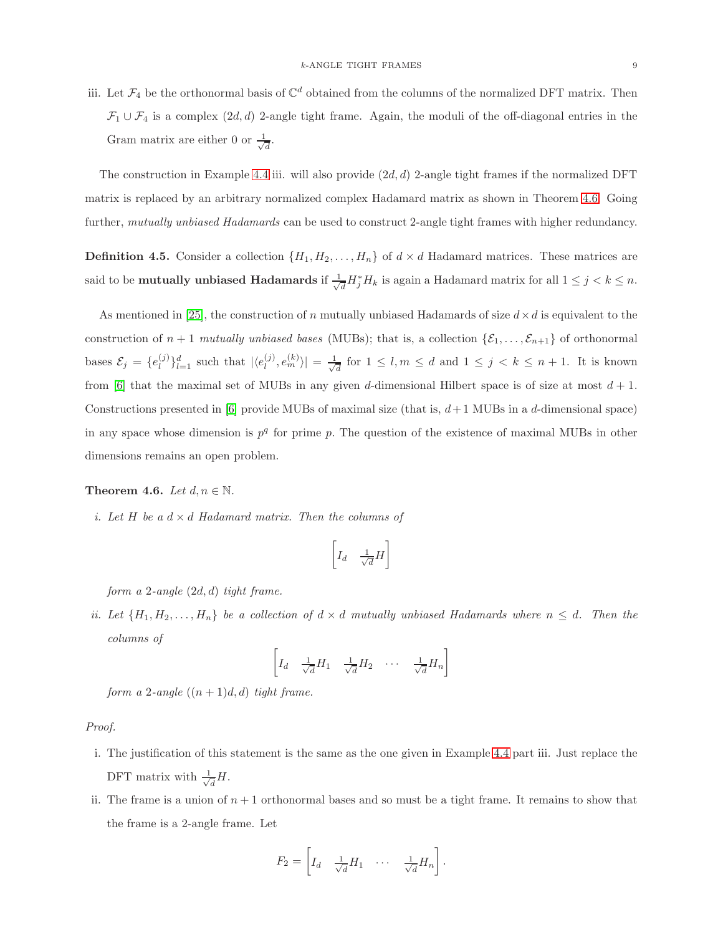iii. Let  $\mathcal{F}_4$  be the orthonormal basis of  $\mathbb{C}^d$  obtained from the columns of the normalized DFT matrix. Then  $\mathcal{F}_1 \cup \mathcal{F}_4$  is a complex  $(2d, d)$  2-angle tight frame. Again, the moduli of the off-diagonal entries in the Gram matrix are either 0 or  $\frac{1}{\sqrt{2}}$  $\overline{d}$ .

The construction in Example [4.4](#page-7-0) iii. will also provide  $(2d, d)$  2-angle tight frames if the normalized DFT matrix is replaced by an arbitrary normalized complex Hadamard matrix as shown in Theorem [4.6.](#page-8-0) Going further, *mutually unbiased Hadamards* can be used to construct 2-angle tight frames with higher redundancy.

**Definition 4.5.** Consider a collection  $\{H_1, H_2, \ldots, H_n\}$  of  $d \times d$  Hadamard matrices. These matrices are said to be **mutually unbiased Hadamards** if  $\frac{1}{\sqrt{2}}$  $\frac{d}{dt}H_j^*H_k$  is again a Hadamard matrix for all  $1 \leq j < k \leq n$ .

As mentioned in [\[25\]](#page-13-13), the construction of n mutually unbiased Hadamards of size  $d \times d$  is equivalent to the construction of  $n + 1$  *mutually unbiased bases* (MUBs); that is, a collection  $\{\mathcal{E}_1, \ldots, \mathcal{E}_{n+1}\}$  of orthonormal bases  $\mathcal{E}_j = \{e_l^{(j)}\}$  $\binom{j}{l}\}_{l=1}^d$  such that  $|\langle e_l^{(j)}\rangle$  $\vert_{l}^{(j)},e_{m}^{(k)}\rangle\vert=\frac{1}{\sqrt{2}}$  $\frac{d}{d}$  for  $1 \leq l, m \leq d$  and  $1 \leq j < k \leq n+1$ . It is known from [\[6\]](#page-12-5) that the maximal set of MUBs in any given d-dimensional Hilbert space is of size at most  $d + 1$ . Constructions presented in [\[6\]](#page-12-5) provide MUBs of maximal size (that is,  $d+1$  MUBs in a d-dimensional space) in any space whose dimension is  $p<sup>q</sup>$  for prime p. The question of the existence of maximal MUBs in other dimensions remains an open problem.

## <span id="page-8-0"></span>**Theorem 4.6.** *Let*  $d, n \in \mathbb{N}$ *.*

*i. Let*  $H$  *be a*  $d \times d$  *Hadamard matrix. Then the columns of* 

$$
\left[I_d \quad \frac{1}{\sqrt{d}}H\right]
$$

*form a* 2*-angle* (2d, d) *tight frame.*

*ii. Let*  $\{H_1, H_2, \ldots, H_n\}$  *be a collection of*  $d \times d$  *mutually unbiased Hadamards where*  $n \leq d$ *. Then the columns of*

$$
\left[ I_d \quad \frac{1}{\sqrt{d}} H_1 \quad \frac{1}{\sqrt{d}} H_2 \quad \cdots \quad \frac{1}{\sqrt{d}} H_n \right]
$$

*form a* 2*-angle*  $((n+1)d, d)$  *tight frame.* 

# *Proof.*

- i. The justification of this statement is the same as the one given in Example [4.4](#page-7-0) part iii. Just replace the DFT matrix with  $\frac{1}{\sqrt{2}}$  $\overline{d}^H$ .
- ii. The frame is a union of  $n + 1$  orthonormal bases and so must be a tight frame. It remains to show that the frame is a 2-angle frame. Let

$$
F_2 = \left[ I_d \quad \frac{1}{\sqrt{d}} H_1 \quad \cdots \quad \frac{1}{\sqrt{d}} H_n \right].
$$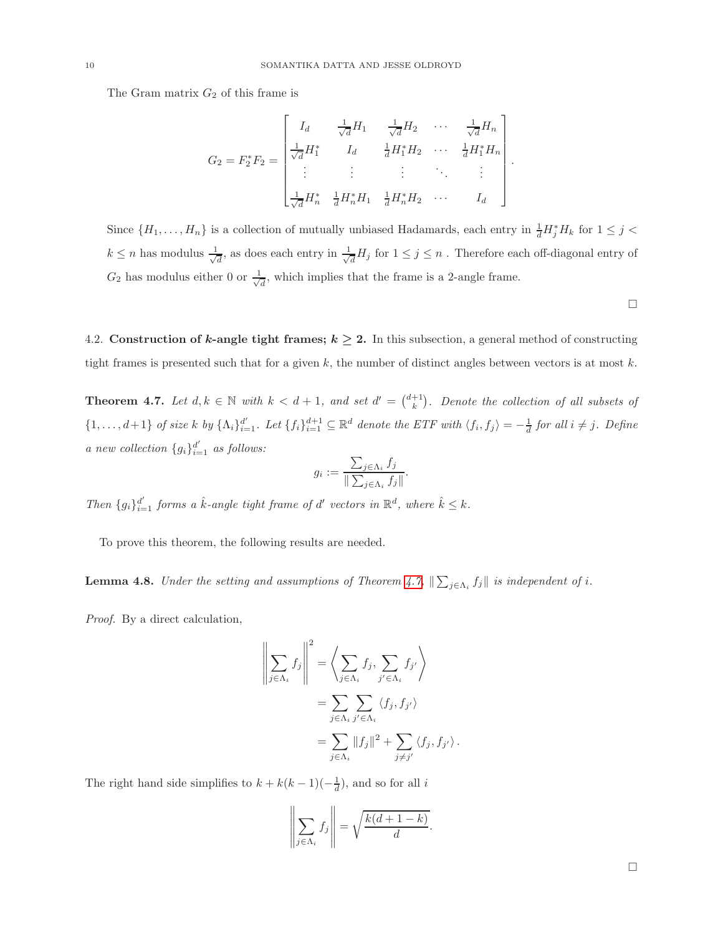The Gram matrix  $G_2$  of this frame is

$$
G_2 = F_2^* F_2 = \begin{bmatrix} I_d & \frac{1}{\sqrt{d}} H_1 & \frac{1}{\sqrt{d}} H_2 & \cdots & \frac{1}{\sqrt{d}} H_n \\ \frac{1}{\sqrt{d}} H_1^* & I_d & \frac{1}{d} H_1^* H_2 & \cdots & \frac{1}{d} H_1^* H_n \\ \vdots & \vdots & \vdots & \ddots & \vdots \\ \frac{1}{\sqrt{d}} H_n^* & \frac{1}{d} H_n^* H_1 & \frac{1}{d} H_n^* H_2 & \cdots & I_d \end{bmatrix}
$$

Since  $\{H_1,\ldots,H_n\}$  is a collection of mutually unbiased Hadamards, each entry in  $\frac{1}{d}H_j^*H_k$  for  $1 \leq j <$  $k \leq n$  has modulus  $\frac{1}{\sqrt{n}}$  $\frac{1}{d}$ , as does each entry in  $\frac{1}{\sqrt{d}}$  $\frac{1}{d}H_j$  for  $1 \leq j \leq n$ . Therefore each off-diagonal entry of  $G_2$  has modulus either 0 or  $\frac{1}{\sqrt{2}}$  $\frac{1}{d}$ , which implies that the frame is a 2-angle frame.

 $\Box$ 

.

4.2. Construction of k-angle tight frames;  $k \geq 2$ . In this subsection, a general method of constructing tight frames is presented such that for a given  $k$ , the number of distinct angles between vectors is at most  $k$ .

<span id="page-9-0"></span>**Theorem 4.7.** Let  $d, k \in \mathbb{N}$  with  $k < d+1$ , and set  $d' = \binom{d+1}{k}$ . Denote the collection of all subsets of  $\{1,\ldots,d+1\}$  of size k by  $\{\Lambda_i\}_{i=1}^{d'}$ . Let  $\{f_i\}_{i=1}^{d+1} \subseteq \mathbb{R}^d$  denote the ETF with  $\langle f_i, f_j \rangle = -\frac{1}{d}$  for all  $i \neq j$ . Define *a new collection*  ${g_i}_{i=1}^{d'}$  *as follows:* 

$$
g_i := \frac{\sum_{j \in \Lambda_i} f_j}{\|\sum_{j \in \Lambda_i} f_j\|}.
$$

*Then*  ${g_i}_{i=1}^{d'}$  *forms a*  $\hat{k}$ *-angle tight frame of*  $d'$  *vectors in*  $\mathbb{R}^d$ *, where*  $\hat{k} \leq k$ *.* 

To prove this theorem, the following results are needed.

<span id="page-9-1"></span>**Lemma 4.8.** *Under the setting and assumptions of Theorem [4.7,](#page-9-0)*  $\|\sum_{j\in\Lambda_i} f_j\|$  *is independent of i.* 

*Proof.* By a direct calculation,

$$
\left\| \sum_{j \in \Lambda_i} f_j \right\|^2 = \left\langle \sum_{j \in \Lambda_i} f_j, \sum_{j' \in \Lambda_i} f_{j'} \right\rangle
$$
  
= 
$$
\sum_{j \in \Lambda_i} \sum_{j' \in \Lambda_i} \langle f_j, f_{j'} \rangle
$$
  
= 
$$
\sum_{j \in \Lambda_i} ||f_j||^2 + \sum_{j \neq j'} \langle f_j, f_{j'} \rangle.
$$

The right hand side simplifies to  $k + k(k-1)(-\frac{1}{d})$ , and so for all i

$$
\left\| \sum_{j \in \Lambda_i} f_j \right\| = \sqrt{\frac{k(d+1-k)}{d}}.
$$

 $\Box$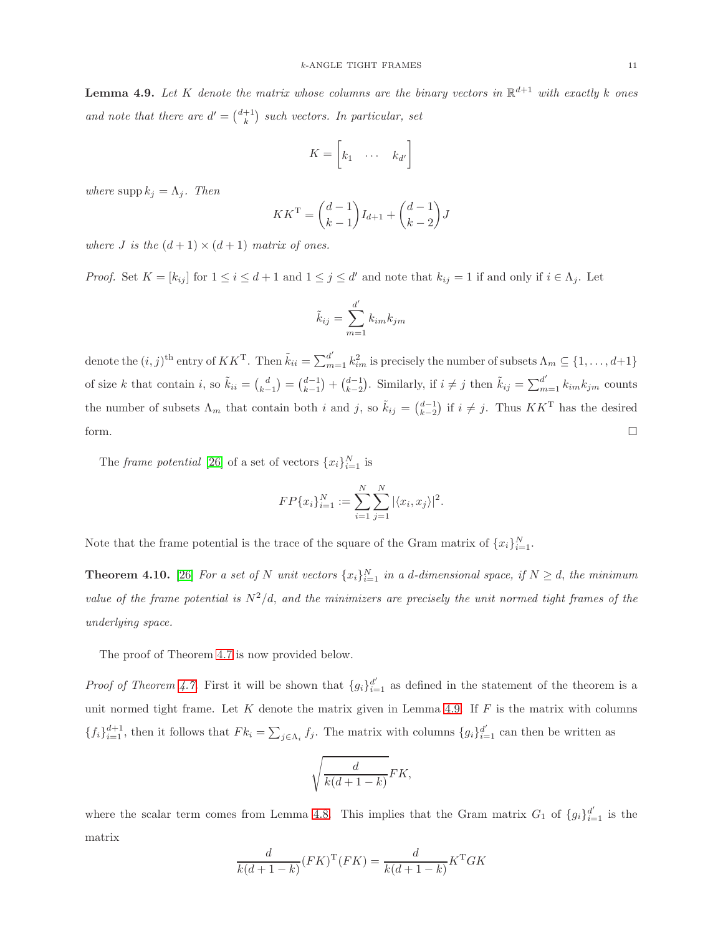<span id="page-10-0"></span>**Lemma 4.9.** Let K denote the matrix whose columns are the binary vectors in  $\mathbb{R}^{d+1}$  with exactly k ones *and note that there are*  $d' = \binom{d+1}{k}$  *such vectors. In particular, set* 

$$
K = \begin{bmatrix} k_1 & \cdots & k_{d'} \end{bmatrix}
$$

*where*  $\text{supp } k_j = \Lambda_j$ *. Then* 

$$
KK^{\rm T} = \binom{d-1}{k-1} I_{d+1} + \binom{d-1}{k-2} J
$$

*where J is the*  $(d+1) \times (d+1)$  *matrix of ones.* 

*Proof.* Set  $K = [k_{ij}]$  for  $1 \le i \le d+1$  and  $1 \le j \le d'$  and note that  $k_{ij} = 1$  if and only if  $i \in \Lambda_j$ . Let

$$
\tilde{k}_{ij} = \sum_{m=1}^{d'} k_{im} k_{jm}
$$

denote the  $(i, j)$ <sup>th</sup> entry of  $KK^T$ . Then  $\tilde{k}_{ii} = \sum_{m=1}^{d'} k_{im}^2$  is precisely the number of subsets  $\Lambda_m \subseteq \{1, \ldots, d+1\}$ of size k that contain i, so  $\tilde{k}_{ii} = \begin{pmatrix} d \\ k-1 \end{pmatrix} = \begin{pmatrix} d-1 \\ k-2 \end{pmatrix}$ . Similarly, if  $i \neq j$  then  $\tilde{k}_{ij} = \sum_{m=1}^{d'} k_{im} k_{jm}$  counts the number of subsets  $\Lambda_m$  that contain both i and j, so  $\tilde{k}_{ij} = \binom{d-1}{k-2}$  if  $i \neq j$ . Thus  $KK^T$  has the desired form.  $\Box$ 

The *frame potential* [\[26\]](#page-13-14) of a set of vectors  $\{x_i\}_{i=1}^N$  is

$$
FP\{x_i\}_{i=1}^N := \sum_{i=1}^N \sum_{j=1}^N |\langle x_i, x_j \rangle|^2.
$$

Note that the frame potential is the trace of the square of the Gram matrix of  ${x_i}_{i=1}^N$ .

<span id="page-10-1"></span>**Theorem 4.10.** [\[26\]](#page-13-14) For a set of N unit vectors  $\{x_i\}_{i=1}^N$  in a d-dimensional space, if  $N \geq d$ , the minimum *value of the frame potential is*  $N^2/d$ , *and the minimizers are precisely the unit normed tight frames of the underlying space.*

The proof of Theorem [4.7](#page-9-0) is now provided below.

*Proof of Theorem [4.7.](#page-9-0)* First it will be shown that  ${g_i}_{i=1}^{d'}$  as defined in the statement of the theorem is a unit normed tight frame. Let  $K$  denote the matrix given in Lemma [4.9.](#page-10-0) If  $F$  is the matrix with columns  $\{f_i\}_{i=1}^{d+1}$ , then it follows that  $F_{ki} = \sum_{j \in \Lambda_i} f_j$ . The matrix with columns  $\{g_i\}_{i=1}^{d'}$  can then be written as

$$
\sqrt{\frac{d}{k(d+1-k)}}FK,
$$

where the scalar term comes from Lemma [4.8.](#page-9-1) This implies that the Gram matrix  $G_1$  of  ${g_i}_{i=1}^{d'}$  is the matrix

$$
\frac{d}{k(d+1-k)}(FK)^{\mathrm{T}}(FK) = \frac{d}{k(d+1-k)}K^{\mathrm{T}}GK
$$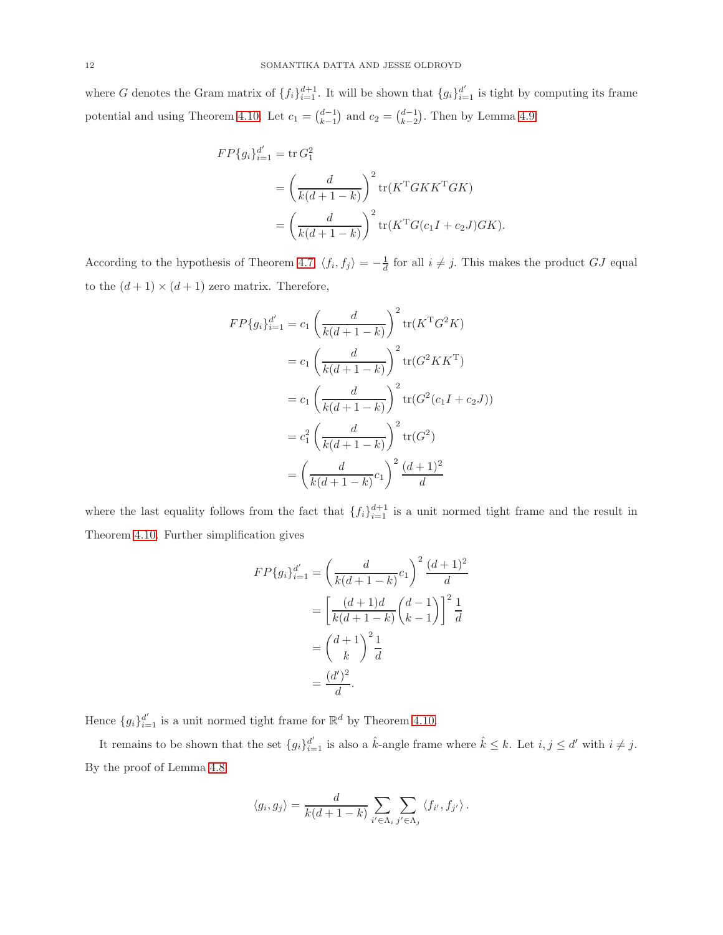where G denotes the Gram matrix of  $\{f_i\}_{i=1}^{d+1}$ . It will be shown that  $\{g_i\}_{i=1}^{d'}$  is tight by computing its frame potential and using Theorem [4.10.](#page-10-1) Let  $c_1 = \binom{d-1}{k-1}$  and  $c_2 = \binom{d-1}{k-2}$ . Then by Lemma [4.9](#page-10-0)

$$
FP{g_i}_{i=1}^{d'} = \text{tr } G_1^2
$$
  
=  $\left(\frac{d}{k(d+1-k)}\right)^2 \text{tr}(K^{\text{T}}GKK^{\text{T}}GK)$   
=  $\left(\frac{d}{k(d+1-k)}\right)^2 \text{tr}(K^{\text{T}}G(c_1I + c_2J)GK).$ 

According to the hypothesis of Theorem [4.7,](#page-9-0)  $\langle f_i, f_j \rangle = -\frac{1}{d}$  for all  $i \neq j$ . This makes the product GJ equal to the  $(d+1) \times (d+1)$  zero matrix. Therefore,

$$
FP{g_i}_{i=1}^{d'} = c_1 \left(\frac{d}{k(d+1-k)}\right)^2 \text{tr}(K^{\mathrm{T}}G^2K)
$$
  

$$
= c_1 \left(\frac{d}{k(d+1-k)}\right)^2 \text{tr}(G^2KK^{\mathrm{T}})
$$
  

$$
= c_1 \left(\frac{d}{k(d+1-k)}\right)^2 \text{tr}(G^2(c_1I + c_2J))
$$
  

$$
= c_1^2 \left(\frac{d}{k(d+1-k)}\right)^2 \text{tr}(G^2)
$$
  

$$
= \left(\frac{d}{k(d+1-k)}c_1\right)^2 \frac{(d+1)^2}{d}
$$

where the last equality follows from the fact that  $\{f_i\}_{i=1}^{d+1}$  is a unit normed tight frame and the result in Theorem [4.10.](#page-10-1) Further simplification gives

$$
FP{g_i}_{i=1}^{d'} = \left(\frac{d}{k(d+1-k)}c_1\right)^2 \frac{(d+1)^2}{d}
$$

$$
= \left[\frac{(d+1)d}{k(d+1-k)}\binom{d-1}{k-1}\right]^2 \frac{1}{d}
$$

$$
= \binom{d+1}{k}^2 \frac{1}{d}
$$

$$
= \frac{(d')^2}{d}.
$$

Hence  ${g_i}_{i=1}^{d'}$  is a unit normed tight frame for  $\mathbb{R}^d$  by Theorem [4.10.](#page-10-1)

It remains to be shown that the set  ${g_i}_{i=1}^{d'}$  is also a  $\hat{k}$ -angle frame where  $\hat{k} \leq k$ . Let  $i, j \leq d'$  with  $i \neq j$ . By the proof of Lemma [4.8](#page-9-1)

$$
\langle g_i, g_j \rangle = \frac{d}{k(d+1-k)} \sum_{i' \in \Lambda_i} \sum_{j' \in \Lambda_j} \langle f_{i'}, f_{j'} \rangle.
$$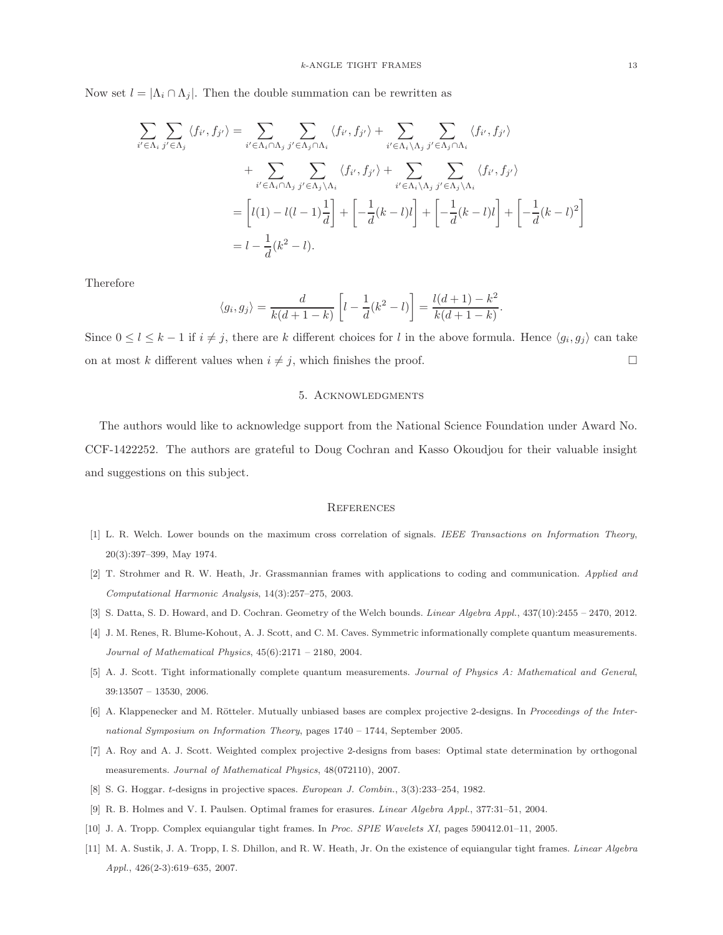Now set  $l = |\Lambda_i \cap \Lambda_j|$ . Then the double summation can be rewritten as

$$
\sum_{i' \in \Lambda_i} \sum_{j' \in \Lambda_j} \langle f_{i'}, f_{j'} \rangle = \sum_{i' \in \Lambda_i \cap \Lambda_j} \sum_{j' \in \Lambda_j \cap \Lambda_i} \langle f_{i'}, f_{j'} \rangle + \sum_{i' \in \Lambda_i \backslash \Lambda_j} \sum_{j' \in \Lambda_j \cap \Lambda_i} \langle f_{i'}, f_{j'} \rangle
$$
  
+ 
$$
\sum_{i' \in \Lambda_i \cap \Lambda_j} \sum_{j' \in \Lambda_j \backslash \Lambda_i} \langle f_{i'}, f_{j'} \rangle + \sum_{i' \in \Lambda_i \backslash \Lambda_j} \sum_{j' \in \Lambda_j \backslash \Lambda_i} \langle f_{i'}, f_{j'} \rangle
$$
  
= 
$$
\left[ l(1) - l(l-1) \frac{1}{d} \right] + \left[ -\frac{1}{d} (k-l) l \right] + \left[ -\frac{1}{d} (k-l) l \right] + \left[ -\frac{1}{d} (k-l)^2 \right]
$$
  
= 
$$
l - \frac{1}{d} (k^2 - l).
$$

Therefore

$$
\langle g_i, g_j \rangle = \frac{d}{k(d+1-k)} \left[ l - \frac{1}{d}(k^2 - l) \right] = \frac{l(d+1) - k^2}{k(d+1-k)}.
$$

Since  $0 \leq l \leq k-1$  if  $i \neq j$ , there are k different choices for l in the above formula. Hence  $\langle g_i, g_j \rangle$  can take on at most k different values when  $i \neq j$ , which finishes the proof.

## 5. Acknowledgments

The authors would like to acknowledge support from the National Science Foundation under Award No. CCF-1422252. The authors are grateful to Doug Cochran and Kasso Okoudjou for their valuable insight and suggestions on this subject.

#### **REFERENCES**

- <span id="page-12-1"></span><span id="page-12-0"></span>[1] L. R. Welch. Lower bounds on the maximum cross correlation of signals. *IEEE Transactions on Information Theory*, 20(3):397–399, May 1974.
- <span id="page-12-2"></span>[2] T. Strohmer and R. W. Heath, Jr. Grassmannian frames with applications to coding and communication. *Applied and Computational Harmonic Analysis*, 14(3):257–275, 2003.
- <span id="page-12-3"></span>[3] S. Datta, S. D. Howard, and D. Cochran. Geometry of the Welch bounds. *Linear Algebra Appl.*, 437(10):2455 – 2470, 2012.
- <span id="page-12-4"></span>[4] J. M. Renes, R. Blume-Kohout, A. J. Scott, and C. M. Caves. Symmetric informationally complete quantum measurements. *Journal of Mathematical Physics*, 45(6):2171 – 2180, 2004.
- <span id="page-12-5"></span>[5] A. J. Scott. Tight informationally complete quantum measurements. *Journal of Physics A: Mathematical and General*, 39:13507 – 13530, 2006.
- <span id="page-12-6"></span>[6] A. Klappenecker and M. Rötteler. Mutually unbiased bases are complex projective 2-designs. In *Proceedings of the International Symposium on Information Theory*, pages 1740 – 1744, September 2005.
- <span id="page-12-7"></span>[7] A. Roy and A. J. Scott. Weighted complex projective 2-designs from bases: Optimal state determination by orthogonal measurements. *Journal of Mathematical Physics*, 48(072110), 2007.
- <span id="page-12-8"></span>[8] S. G. Hoggar. t-designs in projective spaces. *European J. Combin.*, 3(3):233–254, 1982.
- <span id="page-12-9"></span>[9] R. B. Holmes and V. I. Paulsen. Optimal frames for erasures. *Linear Algebra Appl.*, 377:31–51, 2004.
- <span id="page-12-10"></span>[10] J. A. Tropp. Complex equiangular tight frames. In *Proc. SPIE Wavelets XI*, pages 590412.01–11, 2005.
- [11] M. A. Sustik, J. A. Tropp, I. S. Dhillon, and R. W. Heath, Jr. On the existence of equiangular tight frames. *Linear Algebra Appl.*, 426(2-3):619–635, 2007.